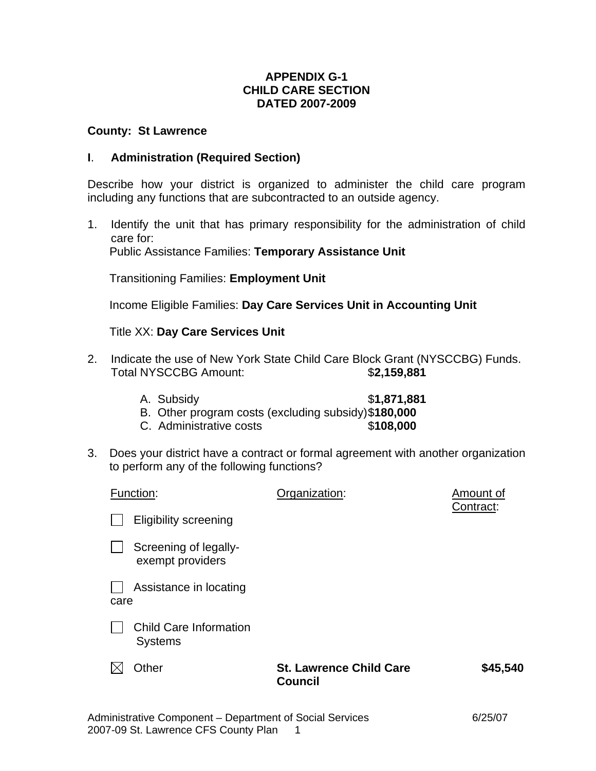## **APPENDIX G-1 CHILD CARE SECTION DATED 2007-2009**

#### **County: St Lawrence**

#### **I**. **Administration (Required Section)**

Describe how your district is organized to administer the child care program including any functions that are subcontracted to an outside agency.

1. Identify the unit that has primary responsibility for the administration of child care for: Public Assistance Families: **Temporary Assistance Unit**

Transitioning Families: **Employment Unit**

Income Eligible Families: **Day Care Services Unit in Accounting Unit**

Title XX: **Day Care Services Unit**

- 2. Indicate the use of New York State Child Care Block Grant (NYSCCBG) Funds. Total NYSCCBG Amount: \$**2,159,881**
	- A. Subsidy \$**1,871,881** B. Other program costs (excluding subsidy) \$**180,000**
	- C. Administrative costs \$**108,000**
- 3. Does your district have a contract or formal agreement with another organization to perform any of the following functions?

| Function:                                       | Organization:                                    | Amount of<br>Contract: |
|-------------------------------------------------|--------------------------------------------------|------------------------|
| <b>Eligibility screening</b>                    |                                                  |                        |
| Screening of legally-<br>exempt providers       |                                                  |                        |
| Assistance in locating<br>care                  |                                                  |                        |
| <b>Child Care Information</b><br><b>Systems</b> |                                                  |                        |
| Other                                           | <b>St. Lawrence Child Care</b><br><b>Council</b> | \$45,540               |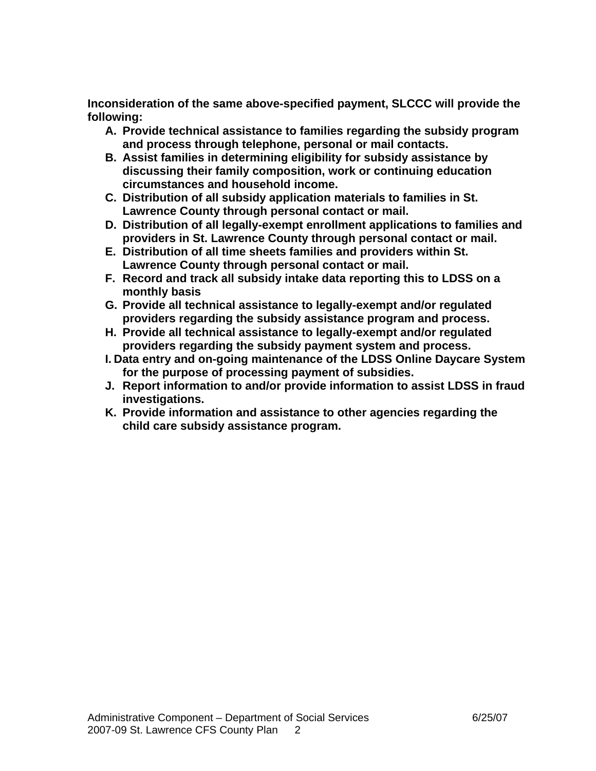**Inconsideration of the same above-specified payment, SLCCC will provide the following:** 

- **A. Provide technical assistance to families regarding the subsidy program and process through telephone, personal or mail contacts.**
- **B. Assist families in determining eligibility for subsidy assistance by discussing their family composition, work or continuing education circumstances and household income.**
- **C. Distribution of all subsidy application materials to families in St. Lawrence County through personal contact or mail.**
- **D. Distribution of all legally-exempt enrollment applications to families and providers in St. Lawrence County through personal contact or mail.**
- **E. Distribution of all time sheets families and providers within St. Lawrence County through personal contact or mail.**
- **F. Record and track all subsidy intake data reporting this to LDSS on a monthly basis**
- **G. Provide all technical assistance to legally-exempt and/or regulated providers regarding the subsidy assistance program and process.**
- **H. Provide all technical assistance to legally-exempt and/or regulated providers regarding the subsidy payment system and process.**
- **I. Data entry and on-going maintenance of the LDSS Online Daycare System for the purpose of processing payment of subsidies.**
- **J. Report information to and/or provide information to assist LDSS in fraud investigations.**
- **K. Provide information and assistance to other agencies regarding the child care subsidy assistance program.**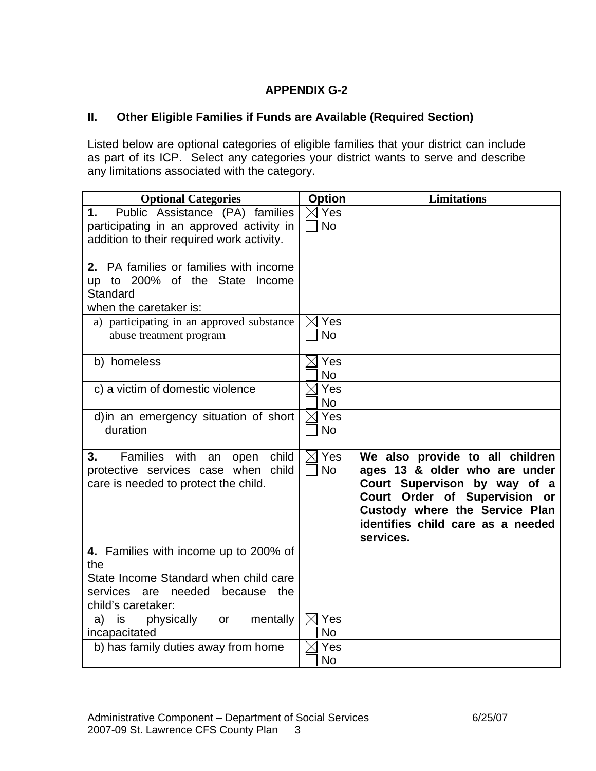# **APPENDIX G-2**

# **II. Other Eligible Families if Funds are Available (Required Section)**

Listed below are optional categories of eligible families that your district can include as part of its ICP. Select any categories your district wants to serve and describe any limitations associated with the category.

| <b>Optional Categories</b>                                                                                                     | <b>Option</b>                | <b>Limitations</b>                                                                                                                                                                                                    |
|--------------------------------------------------------------------------------------------------------------------------------|------------------------------|-----------------------------------------------------------------------------------------------------------------------------------------------------------------------------------------------------------------------|
| Public Assistance (PA) families<br>1.<br>participating in an approved activity in<br>addition to their required work activity. | $\boxtimes$ Yes<br><b>No</b> |                                                                                                                                                                                                                       |
| 2. PA families or families with income<br>up to 200% of the State<br>Income<br>Standard<br>when the caretaker is:              |                              |                                                                                                                                                                                                                       |
| a) participating in an approved substance<br>abuse treatment program                                                           | Yes<br>IХI<br><b>No</b>      |                                                                                                                                                                                                                       |
| b) homeless                                                                                                                    | $\boxtimes$ Yes<br><b>No</b> |                                                                                                                                                                                                                       |
| c) a victim of domestic violence                                                                                               | Yes<br><b>No</b>             |                                                                                                                                                                                                                       |
| d) in an emergency situation of short<br>duration                                                                              | $\boxtimes$ Yes<br><b>No</b> |                                                                                                                                                                                                                       |
| Families with<br>open child<br>3.<br>an<br>protective services case when child<br>care is needed to protect the child.         | $\boxtimes$ Yes<br><b>No</b> | We also provide to all children<br>ages 13 & older who are under<br>Court Supervison by way of a<br>Court Order of Supervision or<br>Custody where the Service Plan<br>identifies child care as a needed<br>services. |
| 4. Families with income up to 200% of<br>the                                                                                   |                              |                                                                                                                                                                                                                       |
| State Income Standard when child care<br>services are needed because<br>the<br>child's caretaker:                              |                              |                                                                                                                                                                                                                       |
| physically<br>mentally<br>is<br>a)<br>or<br>incapacitated                                                                      | $\boxtimes$ Yes<br><b>No</b> |                                                                                                                                                                                                                       |
| b) has family duties away from home                                                                                            | Yes<br><b>No</b>             |                                                                                                                                                                                                                       |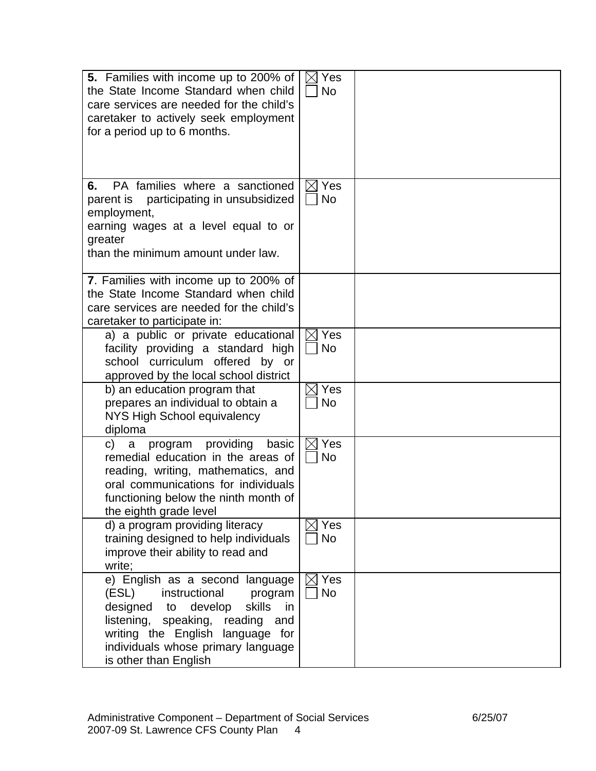| <b>5.</b> Families with income up to 200% of<br>the State Income Standard when child<br>care services are needed for the child's<br>caretaker to actively seek employment<br>for a period up to 6 months.                                                   | $\boxtimes$ Yes<br><b>No</b> |  |
|-------------------------------------------------------------------------------------------------------------------------------------------------------------------------------------------------------------------------------------------------------------|------------------------------|--|
| PA families where a sanctioned<br>6.<br>parent is participating in unsubsidized<br>employment,<br>earning wages at a level equal to or<br>greater<br>than the minimum amount under law.                                                                     | $\boxtimes$ Yes<br><b>No</b> |  |
| 7. Families with income up to 200% of<br>the State Income Standard when child<br>care services are needed for the child's<br>caretaker to participate in:                                                                                                   |                              |  |
| a) a public or private educational<br>facility providing a standard high<br>school curriculum offered by or<br>approved by the local school district                                                                                                        | $\boxtimes$ Yes<br><b>No</b> |  |
| b) an education program that<br>prepares an individual to obtain a<br>NYS High School equivalency<br>diploma                                                                                                                                                | Yes<br><b>No</b>             |  |
| providing<br>basic<br>program<br>C)<br>a<br>remedial education in the areas of<br>reading, writing, mathematics, and<br>oral communications for individuals<br>functioning below the ninth month of<br>the eighth grade level                               | Yes<br><b>No</b>             |  |
| d) a program providing literacy<br>training designed to help individuals<br>improve their ability to read and<br>write;                                                                                                                                     | $\boxtimes$ Yes<br><b>No</b> |  |
| e) English as a second language<br>(ESL)<br>instructional<br>program<br>designed<br>develop<br>skills<br>in<br>to<br>listening, speaking, reading<br>and<br>writing the English language for<br>individuals whose primary language<br>is other than English | Yes<br><b>No</b>             |  |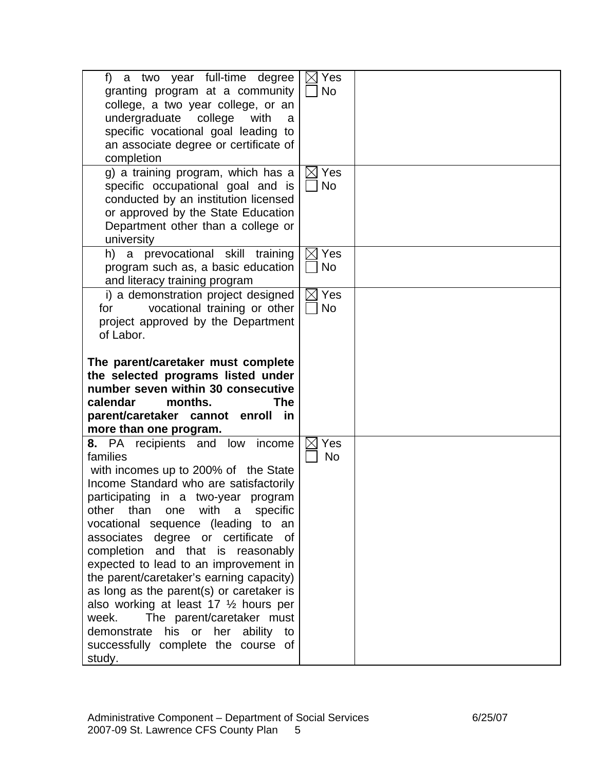| f) a two year full-time degree<br>granting program at a community<br>college, a two year college, or an<br>undergraduate<br>college<br>with<br>a<br>specific vocational goal leading to<br>an associate degree or certificate of<br>completion<br>g) a training program, which has a                                                                                                                                                                                                                                                                                                                                                     | $\boxtimes$ Yes<br><b>No</b><br>$\boxtimes$ Yes |  |
|------------------------------------------------------------------------------------------------------------------------------------------------------------------------------------------------------------------------------------------------------------------------------------------------------------------------------------------------------------------------------------------------------------------------------------------------------------------------------------------------------------------------------------------------------------------------------------------------------------------------------------------|-------------------------------------------------|--|
| specific occupational goal and is<br>conducted by an institution licensed<br>or approved by the State Education<br>Department other than a college or<br>university                                                                                                                                                                                                                                                                                                                                                                                                                                                                      | <b>No</b>                                       |  |
| h) a prevocational skill training<br>program such as, a basic education<br>and literacy training program                                                                                                                                                                                                                                                                                                                                                                                                                                                                                                                                 | $\boxtimes$ Yes<br><b>No</b>                    |  |
| i) a demonstration project designed<br>vocational training or other<br>for<br>project approved by the Department<br>of Labor.                                                                                                                                                                                                                                                                                                                                                                                                                                                                                                            | $\boxtimes$ Yes<br><b>No</b>                    |  |
| The parent/caretaker must complete<br>the selected programs listed under<br>number seven within 30 consecutive<br>calendar<br>months.<br><b>The</b><br>parent/caretaker cannot enroll in                                                                                                                                                                                                                                                                                                                                                                                                                                                 |                                                 |  |
| more than one program.                                                                                                                                                                                                                                                                                                                                                                                                                                                                                                                                                                                                                   |                                                 |  |
| 8. PA recipients and low income<br>families<br>with incomes up to 200% of the State<br>Income Standard who are satisfactorily<br>participating in a two-year program<br>one with<br>other than<br>specific<br>a<br>vocational sequence (leading to an<br>associates degree or certificate of<br>completion and that is reasonably<br>expected to lead to an improvement in<br>the parent/caretaker's earning capacity)<br>as long as the parent(s) or caretaker is<br>also working at least 17 1/2 hours per<br>week.<br>The parent/caretaker must<br>demonstrate his or her ability to<br>successfully complete the course of<br>study. | Yes<br><b>No</b>                                |  |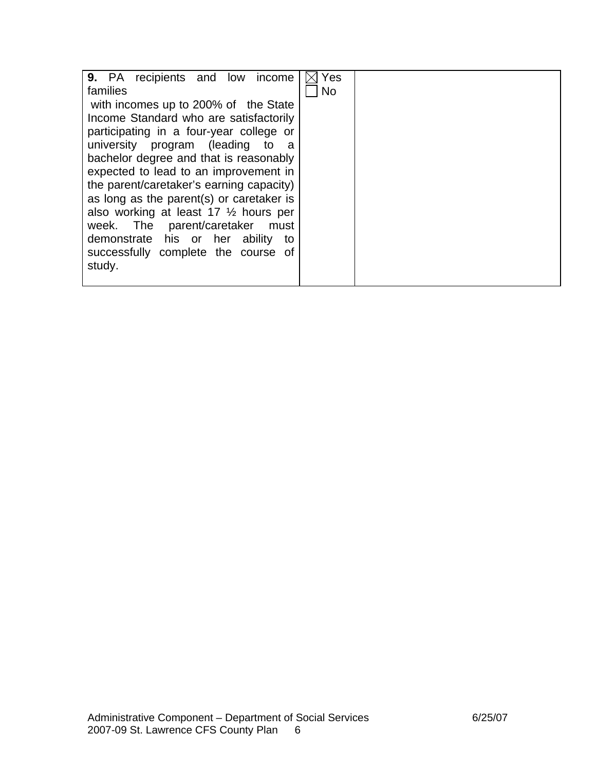| 9. PA recipients and low<br>income               | Yes       |  |
|--------------------------------------------------|-----------|--|
| families                                         | <b>No</b> |  |
| with incomes up to 200% of the State             |           |  |
| Income Standard who are satisfactorily           |           |  |
| participating in a four-year college or          |           |  |
| university program (leading to<br>- a            |           |  |
| bachelor degree and that is reasonably           |           |  |
| expected to lead to an improvement in            |           |  |
| the parent/caretaker's earning capacity)         |           |  |
| as long as the parent(s) or caretaker is         |           |  |
| also working at least 17 $\frac{1}{2}$ hours per |           |  |
| week. The parent/caretaker<br>must               |           |  |
| demonstrate his or her<br>ability<br>to          |           |  |
| successfully complete the course of              |           |  |
| study.                                           |           |  |
|                                                  |           |  |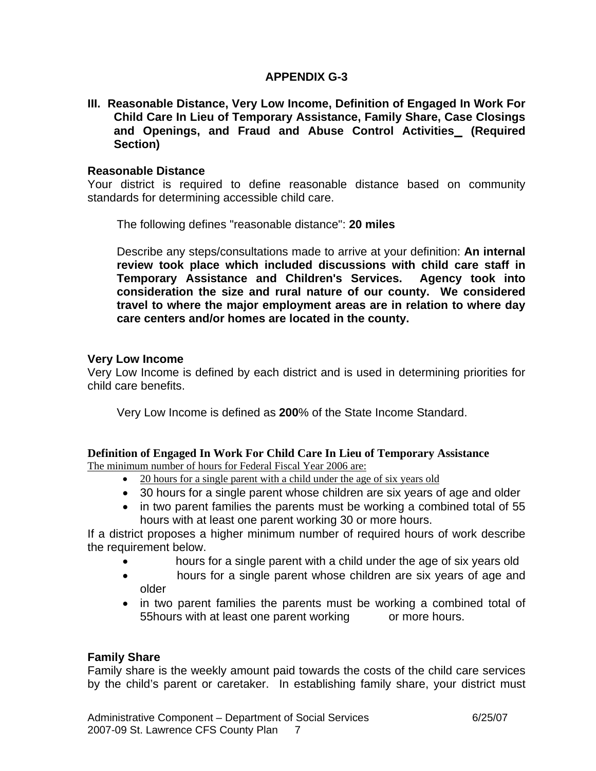## **APPENDIX G-3**

**III. Reasonable Distance, Very Low Income, Definition of Engaged In Work For Child Care In Lieu of Temporary Assistance, Family Share, Case Closings and Openings, and Fraud and Abuse Control Activities (Required Section)** 

#### **Reasonable Distance**

Your district is required to define reasonable distance based on community standards for determining accessible child care.

The following defines "reasonable distance": **20 miles**

 Describe any steps/consultations made to arrive at your definition: **An internal review took place which included discussions with child care staff in Temporary Assistance and Children's Services. Agency took into consideration the size and rural nature of our county. We considered travel to where the major employment areas are in relation to where day care centers and/or homes are located in the county.**

#### **Very Low Income**

Very Low Income is defined by each district and is used in determining priorities for child care benefits.

Very Low Income is defined as **200**% of the State Income Standard.

# **Definition of Engaged In Work For Child Care In Lieu of Temporary Assistance**

The minimum number of hours for Federal Fiscal Year 2006 are:

- 20 hours for a single parent with a child under the age of six years old
- 30 hours for a single parent whose children are six years of age and older
- in two parent families the parents must be working a combined total of 55 hours with at least one parent working 30 or more hours.

If a district proposes a higher minimum number of required hours of work describe the requirement below.

- hours for a single parent with a child under the age of six years old
- •hours for a single parent whose children are six years of age and older
- in two parent families the parents must be working a combined total of 55hours with at least one parent working or more hours.

### **Family Share**

Family share is the weekly amount paid towards the costs of the child care services by the child's parent or caretaker. In establishing family share, your district must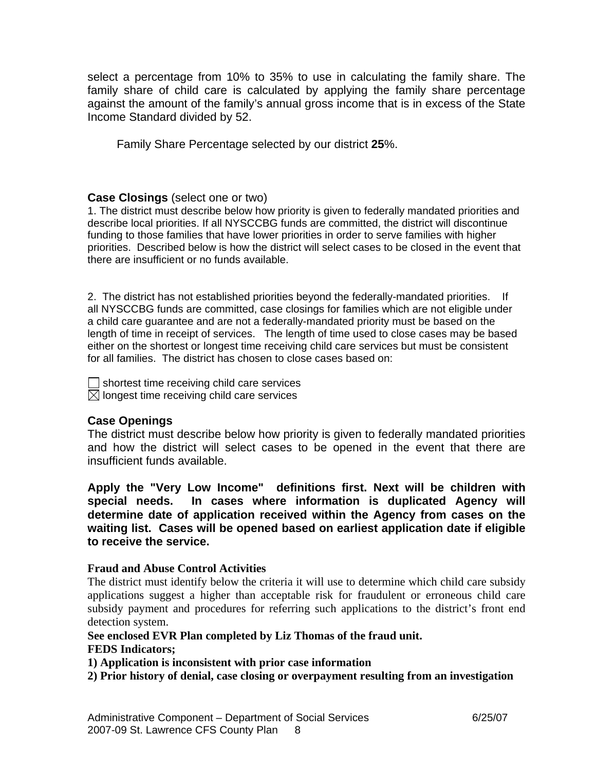select a percentage from 10% to 35% to use in calculating the family share. The family share of child care is calculated by applying the family share percentage against the amount of the family's annual gross income that is in excess of the State Income Standard divided by 52.

Family Share Percentage selected by our district **25**%.

### **Case Closings** (select one or two)

1. The district must describe below how priority is given to federally mandated priorities and describe local priorities. If all NYSCCBG funds are committed, the district will discontinue funding to those families that have lower priorities in order to serve families with higher priorities. Described below is how the district will select cases to be closed in the event that there are insufficient or no funds available.

2. The district has not established priorities beyond the federally-mandated priorities. If all NYSCCBG funds are committed, case closings for families which are not eligible under a child care guarantee and are not a federally-mandated priority must be based on the length of time in receipt of services. The length of time used to close cases may be based either on the shortest or longest time receiving child care services but must be consistent for all families. The district has chosen to close cases based on:

 $\vert \ \vert$  shortest time receiving child care services

 $\boxtimes$  longest time receiving child care services

### **Case Openings**

The district must describe below how priority is given to federally mandated priorities and how the district will select cases to be opened in the event that there are insufficient funds available.

**Apply the "Very Low Income" definitions first. Next will be children with special needs. In cases where information is duplicated Agency will determine date of application received within the Agency from cases on the waiting list. Cases will be opened based on earliest application date if eligible to receive the service.** 

### **Fraud and Abuse Control Activities**

The district must identify below the criteria it will use to determine which child care subsidy applications suggest a higher than acceptable risk for fraudulent or erroneous child care subsidy payment and procedures for referring such applications to the district's front end detection system.

#### **See enclosed EVR Plan completed by Liz Thomas of the fraud unit. FEDS Indicators;**

**1) Application is inconsistent with prior case information** 

**2) Prior history of denial, case closing or overpayment resulting from an investigation**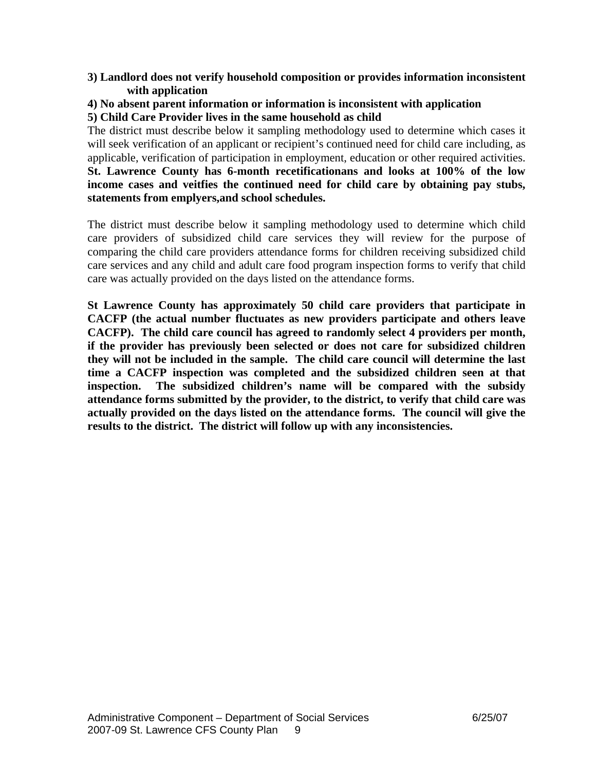#### **3) Landlord does not verify household composition or provides information inconsistent with application**

#### **4) No absent parent information or information is inconsistent with application 5) Child Care Provider lives in the same household as child**

The district must describe below it sampling methodology used to determine which cases it will seek verification of an applicant or recipient's continued need for child care including, as applicable, verification of participation in employment, education or other required activities. **St. Lawrence County has 6-month recetificationans and looks at 100% of the low income cases and veitfies the continued need for child care by obtaining pay stubs, statements from emplyers,and school schedules.** 

The district must describe below it sampling methodology used to determine which child care providers of subsidized child care services they will review for the purpose of comparing the child care providers attendance forms for children receiving subsidized child care services and any child and adult care food program inspection forms to verify that child care was actually provided on the days listed on the attendance forms.

**St Lawrence County has approximately 50 child care providers that participate in CACFP (the actual number fluctuates as new providers participate and others leave CACFP). The child care council has agreed to randomly select 4 providers per month, if the provider has previously been selected or does not care for subsidized children they will not be included in the sample. The child care council will determine the last time a CACFP inspection was completed and the subsidized children seen at that inspection. The subsidized children's name will be compared with the subsidy attendance forms submitted by the provider, to the district, to verify that child care was actually provided on the days listed on the attendance forms. The council will give the results to the district. The district will follow up with any inconsistencies.**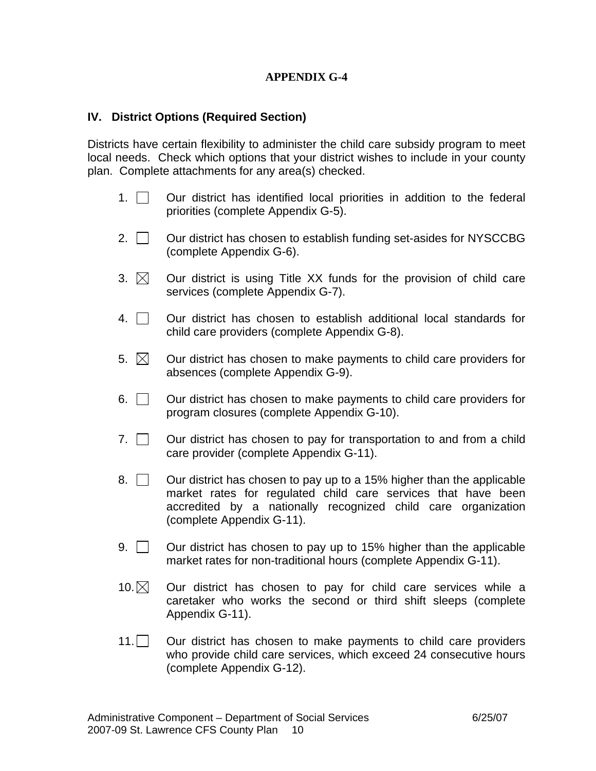## **APPENDIX G-4**

### **IV. District Options (Required Section)**

Districts have certain flexibility to administer the child care subsidy program to meet local needs. Check which options that your district wishes to include in your county plan. Complete attachments for any area(s) checked.

- 1.  $\Box$  Our district has identified local priorities in addition to the federal priorities (complete Appendix G-5).
- 2.  $\vert$   $\vert$  Our district has chosen to establish funding set-asides for NYSCCBG (complete Appendix G-6).
- 3.  $\boxtimes$  Our district is using Title XX funds for the provision of child care services (complete Appendix G-7).
- $4.$   $\Box$  Our district has chosen to establish additional local standards for child care providers (complete Appendix G-8).
- 5.  $\boxtimes$  Our district has chosen to make payments to child care providers for absences (complete Appendix G-9).
- $6.$   $\Box$  Our district has chosen to make payments to child care providers for program closures (complete Appendix G-10).
- 7.  $\Box$  Our district has chosen to pay for transportation to and from a child care provider (complete Appendix G-11).
- $8.$   $\mid$   $\mid$  Our district has chosen to pay up to a 15% higher than the applicable market rates for regulated child care services that have been accredited by a nationally recognized child care organization (complete Appendix G-11).
- 9.  $\vert$   $\vert$  Our district has chosen to pay up to 15% higher than the applicable market rates for non-traditional hours (complete Appendix G-11).
- $10.\boxtimes$  Our district has chosen to pay for child care services while a caretaker who works the second or third shift sleeps (complete Appendix G-11).
- 11. Our district has chosen to make payments to child care providers who provide child care services, which exceed 24 consecutive hours (complete Appendix G-12).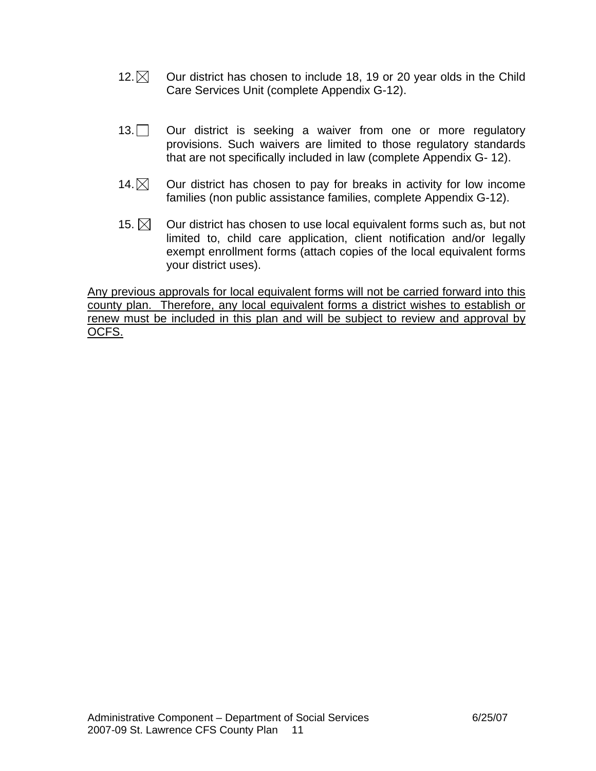- 12.  $\boxtimes$  Our district has chosen to include 18, 19 or 20 year olds in the Child Care Services Unit (complete Appendix G-12).
- 13. Our district is seeking a waiver from one or more regulatory provisions. Such waivers are limited to those regulatory standards that are not specifically included in law (complete Appendix G- 12).
- 14. $\boxtimes$  Our district has chosen to pay for breaks in activity for low income families (non public assistance families, complete Appendix G-12).
- 15.  $\boxtimes$  Our district has chosen to use local equivalent forms such as, but not limited to, child care application, client notification and/or legally exempt enrollment forms (attach copies of the local equivalent forms your district uses).

Any previous approvals for local equivalent forms will not be carried forward into this county plan. Therefore, any local equivalent forms a district wishes to establish or renew must be included in this plan and will be subject to review and approval by OCFS.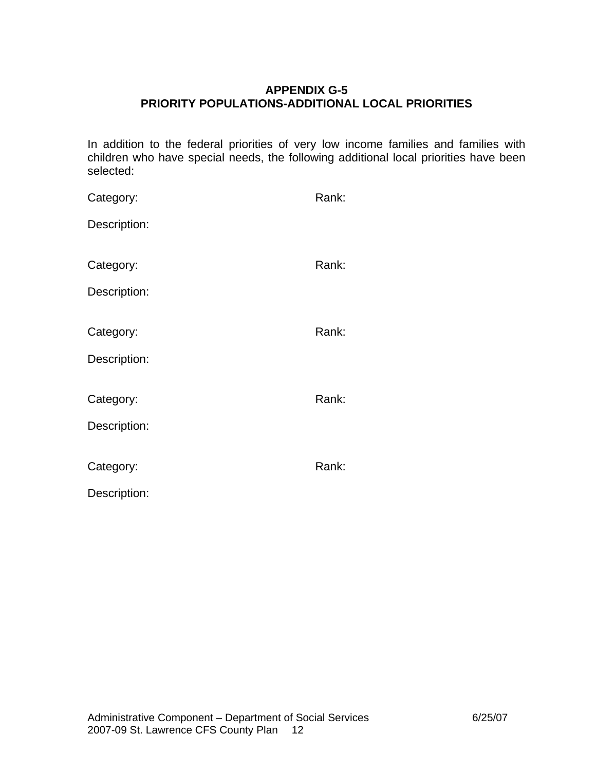# **APPENDIX G-5 PRIORITY POPULATIONS-ADDITIONAL LOCAL PRIORITIES**

In addition to the federal priorities of very low income families and families with children who have special needs, the following additional local priorities have been selected:

| Category:    | Rank: |
|--------------|-------|
| Description: |       |
|              |       |
| Category:    | Rank: |
| Description: |       |
|              |       |
| Category:    | Rank: |
| Description: |       |
|              |       |
| Category:    | Rank: |
| Description: |       |
|              |       |
| Category:    | Rank: |
| Description: |       |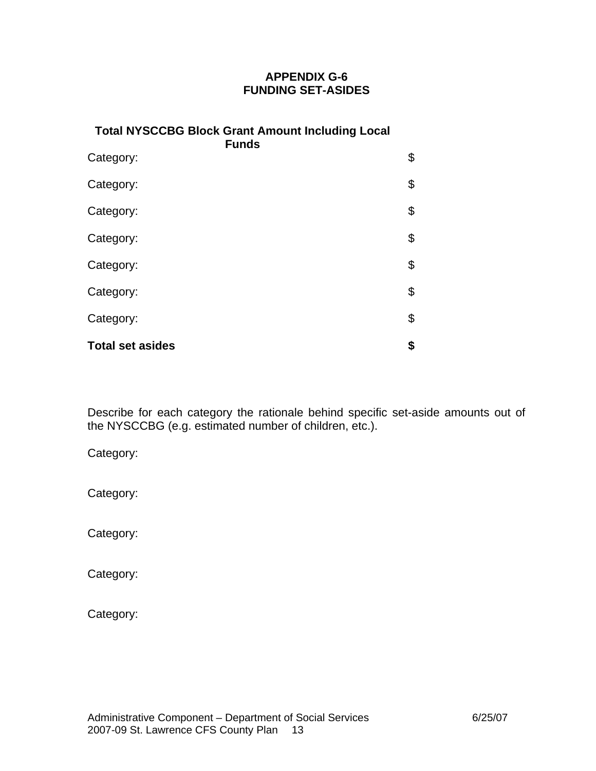# **APPENDIX G-6 FUNDING SET-ASIDES**

| <b>Total NYSCCBG Block Grant Amount Including Local</b><br><b>Funds</b> |    |  |  |
|-------------------------------------------------------------------------|----|--|--|
| Category:                                                               | \$ |  |  |
| Category:                                                               | \$ |  |  |
| Category:                                                               | \$ |  |  |
| Category:                                                               | \$ |  |  |
| Category:                                                               | \$ |  |  |
| Category:                                                               | \$ |  |  |
| Category:                                                               | \$ |  |  |
| <b>Total set asides</b>                                                 | \$ |  |  |

Describe for each category the rationale behind specific set-aside amounts out of the NYSCCBG (e.g. estimated number of children, etc.).

Category:

Category:

Category:

Category:

Category: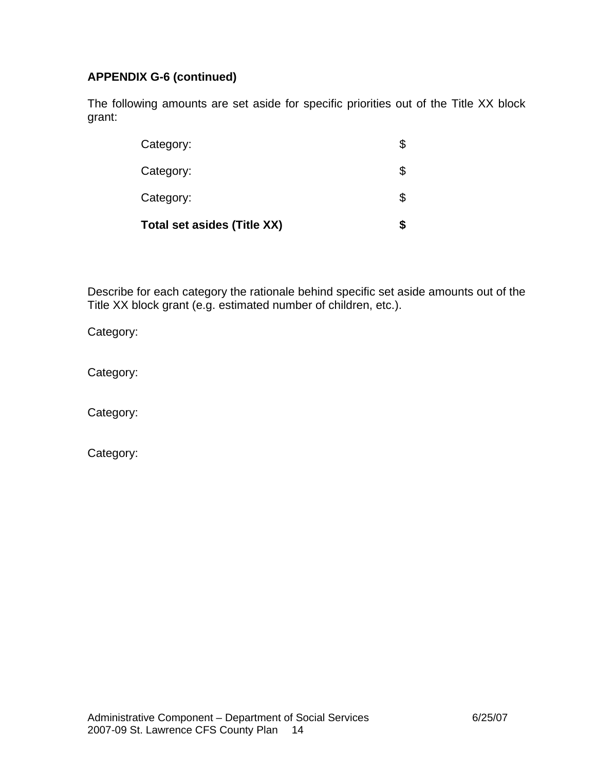# **APPENDIX G-6 (continued)**

The following amounts are set aside for specific priorities out of the Title XX block grant:

| <b>Total set asides (Title XX)</b> |    |
|------------------------------------|----|
| Category:                          |    |
| Category:                          | \$ |
| Category:                          | \$ |

Describe for each category the rationale behind specific set aside amounts out of the Title XX block grant (e.g. estimated number of children, etc.).

Category:

Category:

Category:

Category: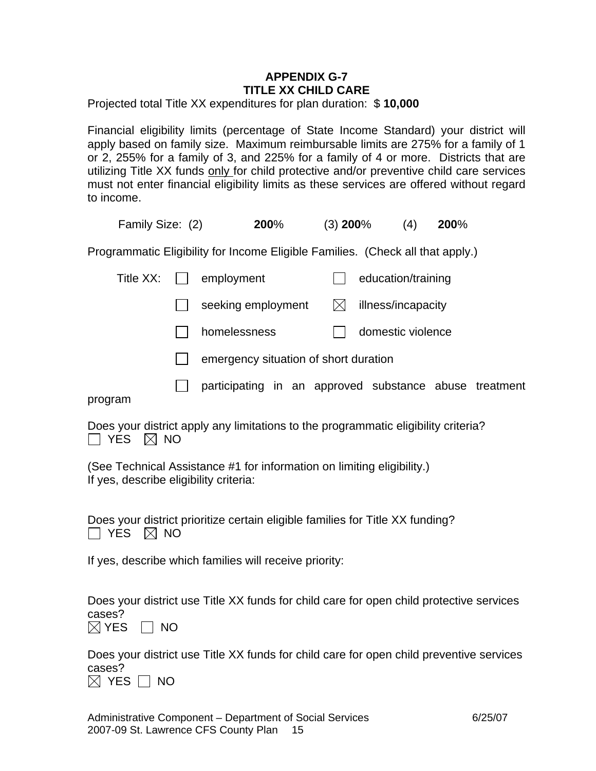# **APPENDIX G-7 TITLE XX CHILD CARE**

Projected total Title XX expenditures for plan duration: \$ **10,000**

Financial eligibility limits (percentage of State Income Standard) your district will apply based on family size. Maximum reimbursable limits are 275% for a family of 1 or 2, 255% for a family of 3, and 225% for a family of 4 or more. Districts that are utilizing Title XX funds only for child protective and/or preventive child care services must not enter financial eligibility limits as these services are offered without regard to income.

| Family Size: (2)                                                               | 200% | $(3)$ 200% | (4) | 200% |
|--------------------------------------------------------------------------------|------|------------|-----|------|
| Programmatic Eligibility for Income Eligible Families. (Check all that apply.) |      |            |     |      |

| Title $XX:$ $  $ | employment                                             |   | education/training |  |
|------------------|--------------------------------------------------------|---|--------------------|--|
|                  | seeking employment                                     | M | illness/incapacity |  |
|                  | homelessness                                           |   | domestic violence  |  |
|                  | emergency situation of short duration                  |   |                    |  |
| program          | participating in an approved substance abuse treatment |   |                    |  |

Does your district apply any limitations to the programmatic eligibility criteria?  $\Box$  YES  $\boxtimes$  NO

(See Technical Assistance #1 for information on limiting eligibility.) If yes, describe eligibility criteria:

Does your district prioritize certain eligible families for Title XX funding?  $\Box$  YES  $\boxtimes$  NO

If yes, describe which families will receive priority:

Does your district use Title XX funds for child care for open child protective services cases?

 $\boxtimes$  YES  $\Box$  NO

Does your district use Title XX funds for child care for open child preventive services cases?

 $\boxtimes$  YES  $\Box$  NO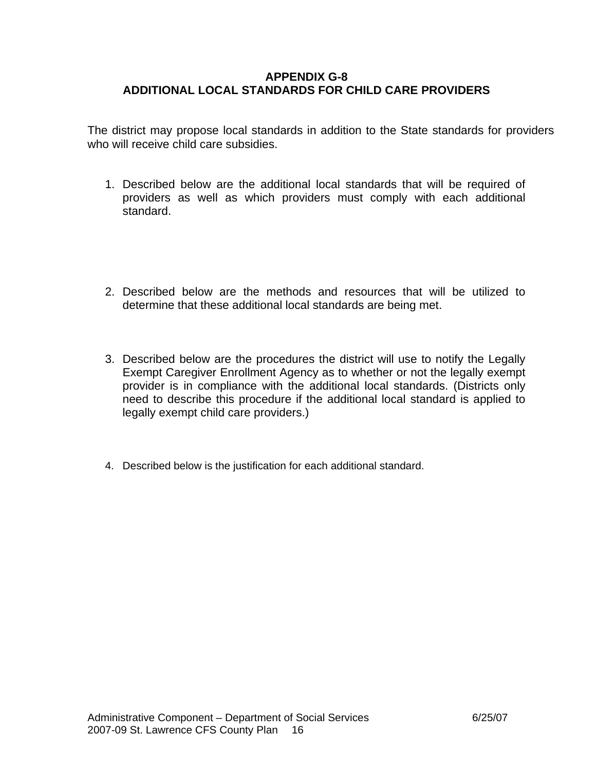### **APPENDIX G-8 ADDITIONAL LOCAL STANDARDS FOR CHILD CARE PROVIDERS**

The district may propose local standards in addition to the State standards for providers who will receive child care subsidies.

- 1. Described below are the additional local standards that will be required of providers as well as which providers must comply with each additional standard.
- 2. Described below are the methods and resources that will be utilized to determine that these additional local standards are being met.
- 3. Described below are the procedures the district will use to notify the Legally Exempt Caregiver Enrollment Agency as to whether or not the legally exempt provider is in compliance with the additional local standards. (Districts only need to describe this procedure if the additional local standard is applied to legally exempt child care providers.)
- 4. Described below is the justification for each additional standard.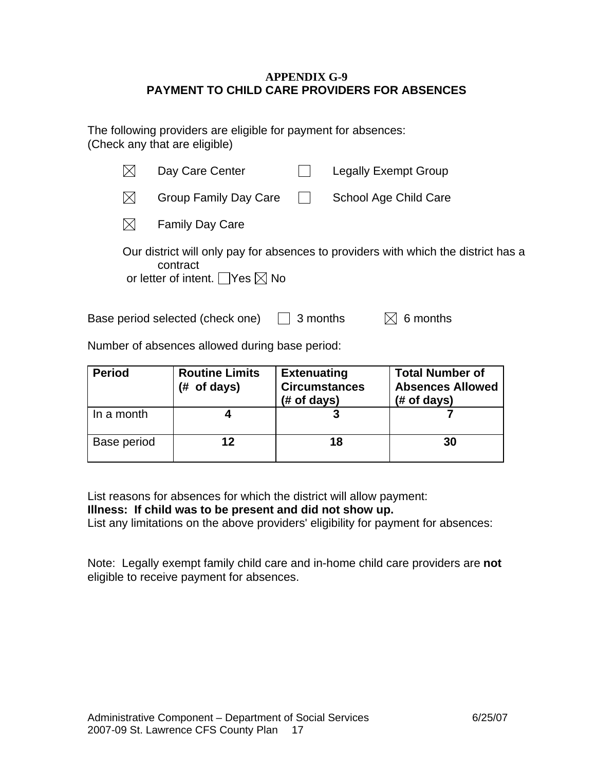### **APPENDIX G-9 PAYMENT TO CHILD CARE PROVIDERS FOR ABSENCES**

The following providers are eligible for payment for absences: (Check any that are eligible)

|     | Day Care Center                                            |              | Legally Exempt Group                                                               |
|-----|------------------------------------------------------------|--------------|------------------------------------------------------------------------------------|
| IXI | Group Family Day Care                                      | $\mathbf{I}$ | School Age Child Care                                                              |
|     | <b>Family Day Care</b>                                     |              |                                                                                    |
|     | contract<br>or letter of intent. $\Box$ Yes $\boxtimes$ No |              | Our district will only pay for absences to providers with which the district has a |

Base period selected (check one)  $\Box$  3 months  $\Box$  6 months

Number of absences allowed during base period:

| <b>Period</b> | <b>Routine Limits</b><br>(# of days) | <b>Extenuating</b><br><b>Circumstances</b><br>$#$ of days) | <b>Total Number of</b><br><b>Absences Allowed</b><br>$#$ of days) |
|---------------|--------------------------------------|------------------------------------------------------------|-------------------------------------------------------------------|
| In a month    |                                      |                                                            |                                                                   |
| Base period   | 12                                   | 18                                                         | 30                                                                |

List reasons for absences for which the district will allow payment:

**Illness: If child was to be present and did not show up.** 

List any limitations on the above providers' eligibility for payment for absences:

Note: Legally exempt family child care and in-home child care providers are **not**  eligible to receive payment for absences.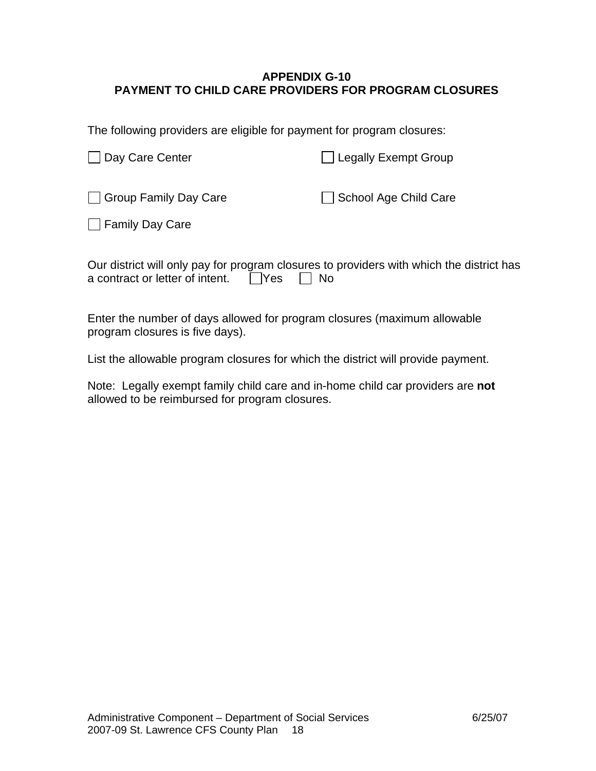## **APPENDIX G-10 PAYMENT TO CHILD CARE PROVIDERS FOR PROGRAM CLOSURES**

The following providers are eligible for payment for program closures:

| Day Care Center                            | <b>Legally Exempt Group</b> |
|--------------------------------------------|-----------------------------|
| Group Family Day Care<br>□ Family Day Care | School Age Child Care       |
|                                            |                             |

| Our district will only pay for program closures to providers with which the district has |  |  |  |
|------------------------------------------------------------------------------------------|--|--|--|
| a contract or letter of intent. $\Box$ Yes $\Box$ No                                     |  |  |  |

Enter the number of days allowed for program closures (maximum allowable program closures is five days).

List the allowable program closures for which the district will provide payment.

Note: Legally exempt family child care and in-home child car providers are **not** allowed to be reimbursed for program closures.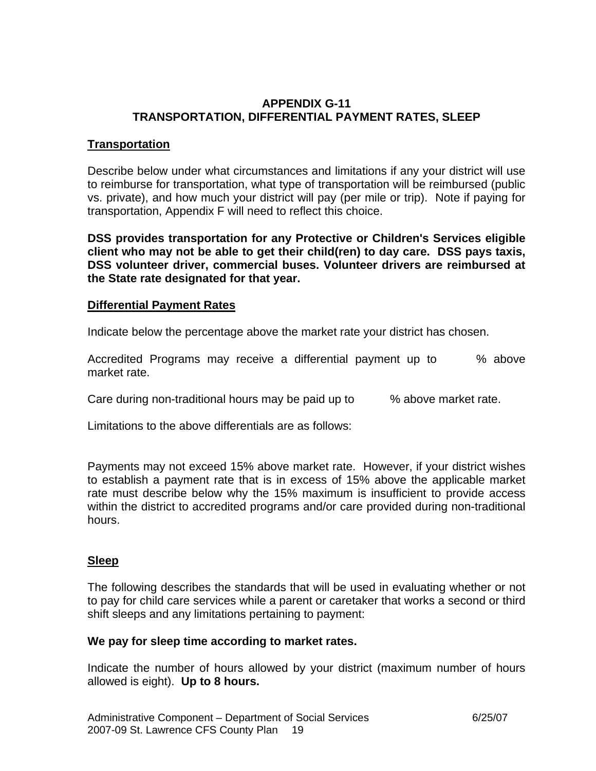## **APPENDIX G-11 TRANSPORTATION, DIFFERENTIAL PAYMENT RATES, SLEEP**

## **Transportation**

Describe below under what circumstances and limitations if any your district will use to reimburse for transportation, what type of transportation will be reimbursed (public vs. private), and how much your district will pay (per mile or trip). Note if paying for transportation, Appendix F will need to reflect this choice.

**DSS provides transportation for any Protective or Children's Services eligible client who may not be able to get their child(ren) to day care. DSS pays taxis, DSS volunteer driver, commercial buses. Volunteer drivers are reimbursed at the State rate designated for that year.** 

### **Differential Payment Rates**

Indicate below the percentage above the market rate your district has chosen.

Accredited Programs may receive a differential payment up to % above market rate.

Care during non-traditional hours may be paid up to  $\mu$  above market rate.

Limitations to the above differentials are as follows:

Payments may not exceed 15% above market rate. However, if your district wishes to establish a payment rate that is in excess of 15% above the applicable market rate must describe below why the 15% maximum is insufficient to provide access within the district to accredited programs and/or care provided during non-traditional hours.

# **Sleep**

The following describes the standards that will be used in evaluating whether or not to pay for child care services while a parent or caretaker that works a second or third shift sleeps and any limitations pertaining to payment:

### **We pay for sleep time according to market rates.**

Indicate the number of hours allowed by your district (maximum number of hours allowed is eight). **Up to 8 hours.**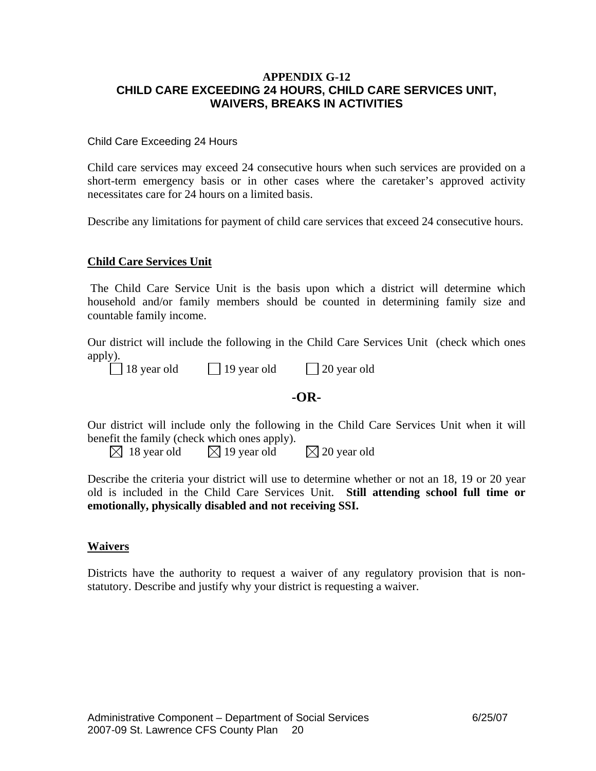#### **APPENDIX G-12 CHILD CARE EXCEEDING 24 HOURS, CHILD CARE SERVICES UNIT, WAIVERS, BREAKS IN ACTIVITIES**

#### Child Care Exceeding 24 Hours

Child care services may exceed 24 consecutive hours when such services are provided on a short-term emergency basis or in other cases where the caretaker's approved activity necessitates care for 24 hours on a limited basis.

Describe any limitations for payment of child care services that exceed 24 consecutive hours.

#### **Child Care Services Unit**

 The Child Care Service Unit is the basis upon which a district will determine which household and/or family members should be counted in determining family size and countable family income.

Our district will include the following in the Child Care Services Unit (check which ones apply).

|  | vear |
|--|------|
|--|------|

old  $\Box$  19 year old  $\Box$  20 year old

### **-OR-**

Our district will include only the following in the Child Care Services Unit when it will benefit the family (check which ones apply).

 $\boxtimes$  18 year old  $\boxtimes$  19 year old  $\boxtimes$  20 year old

Describe the criteria your district will use to determine whether or not an 18, 19 or 20 year old is included in the Child Care Services Unit. **Still attending school full time or emotionally, physically disabled and not receiving SSI.**

#### **Waivers**

Districts have the authority to request a waiver of any regulatory provision that is nonstatutory. Describe and justify why your district is requesting a waiver.